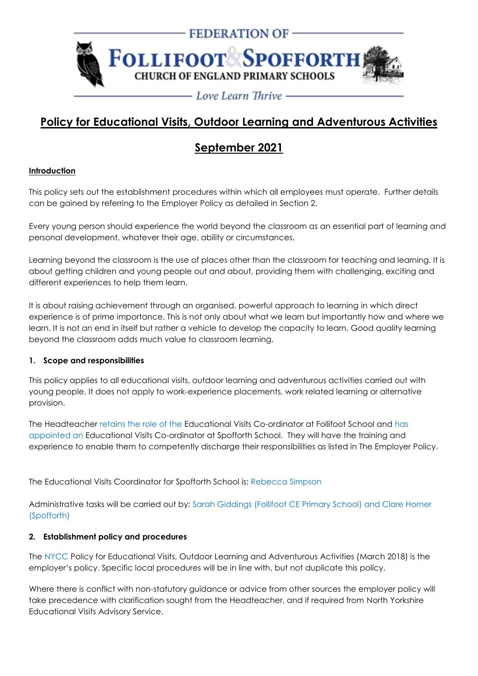

# **Policy for Educational Visits, Outdoor Learning and Adventurous Activities**

# **September 2021**

## **Introduction**

This policy sets out the establishment procedures within which all employees must operate. Further details can be gained by referring to the Employer Policy as detailed in Section 2.

Every young person should experience the world beyond the classroom as an essential part of learning and personal development, whatever their age, ability or circumstances.

Learning beyond the classroom is the use of places other than the classroom for teaching and learning. It is about getting children and young people out and about, providing them with challenging, exciting and different experiences to help them learn.

It is about raising achievement through an organised, powerful approach to learning in which direct experience is of prime importance. This is not only about what we learn but importantly how and where we learn. It is not an end in itself but rather a vehicle to develop the capacity to learn. Good quality learning beyond the classroom adds much value to classroom learning.

## **1. Scope and responsibilities**

This policy applies to all educational visits, outdoor learning and adventurous activities carried out with young people. It does not apply to work-experience placements, work related learning or alternative provision.

The Headteacher retains the role of the Educational Visits Co-ordinator at Follifoot School and has appointed an Educational Visits Co-ordinator at Spofforth School. They will have the training and experience to enable them to competently discharge their responsibilities as listed in The Employer Policy.

The Educational Visits Coordinator for Spofforth School is: Rebecca Simpson

Administrative tasks will be carried out by: Sarah Giddings (Follifoot CE Primary School) and Clare Horner (Spofforth)

## **2. Establishment policy and procedures**

The NYCC Policy for Educational Visits, Outdoor Learning and Adventurous Activities (March 2018) is the employer's policy. Specific local procedures will be in line with, but not duplicate this policy.

Where there is conflict with non-statutory guidance or advice from other sources the employer policy will take precedence with clarification sought from the Headteacher, and if required from North Yorkshire Educational Visits Advisory Service.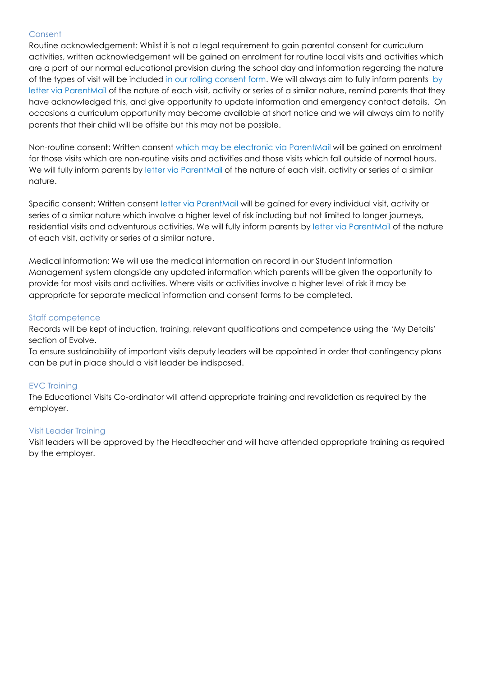#### **Consent**

Routine acknowledgement: Whilst it is not a legal requirement to gain parental consent for curriculum activities, written acknowledgement will be gained on enrolment for routine local visits and activities which are a part of our normal educational provision during the school day and information regarding the nature of the types of visit will be included in our rolling consent form. We will always aim to fully inform parents by letter via ParentMail of the nature of each visit, activity or series of a similar nature, remind parents that they have acknowledged this, and give opportunity to update information and emergency contact details. On occasions a curriculum opportunity may become available at short notice and we will always aim to notify parents that their child will be offsite but this may not be possible.

Non-routine consent: Written consent which may be electronic via ParentMail will be gained on enrolment for those visits which are non-routine visits and activities and those visits which fall outside of normal hours. We will fully inform parents by letter via ParentMail of the nature of each visit, activity or series of a similar nature.

Specific consent: Written consent letter via ParentMail will be gained for every individual visit, activity or series of a similar nature which involve a higher level of risk including but not limited to longer journeys, residential visits and adventurous activities. We will fully inform parents by letter via ParentMail of the nature of each visit, activity or series of a similar nature.

Medical information: We will use the medical information on record in our Student Information Management system alongside any updated information which parents will be given the opportunity to provide for most visits and activities. Where visits or activities involve a higher level of risk it may be appropriate for separate medical information and consent forms to be completed.

## Staff competence

Records will be kept of induction, training, relevant qualifications and competence using the 'My Details' section of Evolve.

To ensure sustainability of important visits deputy leaders will be appointed in order that contingency plans can be put in place should a visit leader be indisposed.

## EVC Training

The Educational Visits Co-ordinator will attend appropriate training and revalidation as required by the employer.

#### Visit Leader Training

Visit leaders will be approved by the Headteacher and will have attended appropriate training as required by the employer.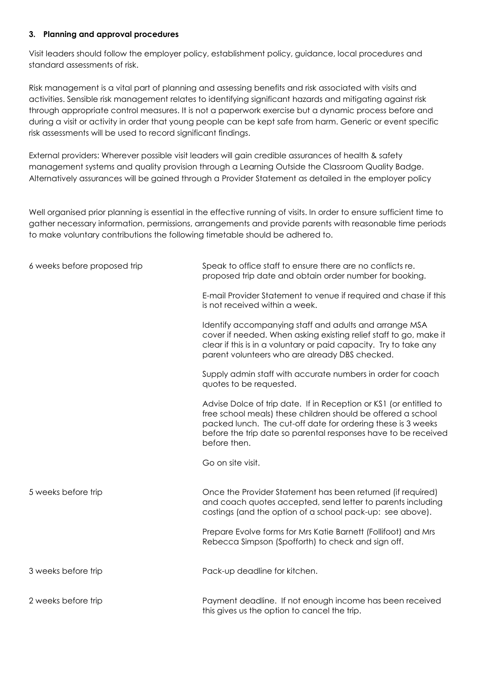#### **3. Planning and approval procedures**

Visit leaders should follow the employer policy, establishment policy, guidance, local procedures and standard assessments of risk.

Risk management is a vital part of planning and assessing benefits and risk associated with visits and activities. Sensible risk management relates to identifying significant hazards and mitigating against risk through appropriate control measures. It is not a paperwork exercise but a dynamic process before and during a visit or activity in order that young people can be kept safe from harm. Generic or event specific risk assessments will be used to record significant findings.

External providers: Wherever possible visit leaders will gain credible assurances of health & safety management systems and quality provision through a Learning Outside the Classroom Quality Badge. Alternatively assurances will be gained through a Provider Statement as detailed in the employer policy

Well organised prior planning is essential in the effective running of visits. In order to ensure sufficient time to gather necessary information, permissions, arrangements and provide parents with reasonable time periods to make voluntary contributions the following timetable should be adhered to.

| 6 weeks before proposed trip | Speak to office staff to ensure there are no conflicts re.<br>proposed trip date and obtain order number for booking.                                                                                                                                                               |
|------------------------------|-------------------------------------------------------------------------------------------------------------------------------------------------------------------------------------------------------------------------------------------------------------------------------------|
|                              | E-mail Provider Statement to venue if required and chase if this<br>is not received within a week.                                                                                                                                                                                  |
|                              | Identify accompanying staff and adults and arrange MSA<br>cover if needed. When asking existing relief staff to go, make it<br>clear if this is in a voluntary or paid capacity. Try to take any<br>parent volunteers who are already DBS checked.                                  |
|                              | Supply admin staff with accurate numbers in order for coach<br>quotes to be requested.                                                                                                                                                                                              |
|                              | Advise Dolce of trip date. If in Reception or KS1 (or entitled to<br>free school meals) these children should be offered a school<br>packed lunch. The cut-off date for ordering these is 3 weeks<br>before the trip date so parental responses have to be received<br>before then. |
|                              | Go on site visit.                                                                                                                                                                                                                                                                   |
| 5 weeks before trip          | Once the Provider Statement has been returned (if required)<br>and coach quotes accepted, send letter to parents including<br>costings (and the option of a school pack-up: see above).                                                                                             |
|                              | Prepare Evolve forms for Mrs Katie Barnett (Follifoot) and Mrs<br>Rebecca Simpson (Spofforth) to check and sign off.                                                                                                                                                                |
| 3 weeks before trip          | Pack-up deadline for kitchen.                                                                                                                                                                                                                                                       |
| 2 weeks before trip          | Payment deadline. If not enough income has been received<br>this gives us the option to cancel the trip.                                                                                                                                                                            |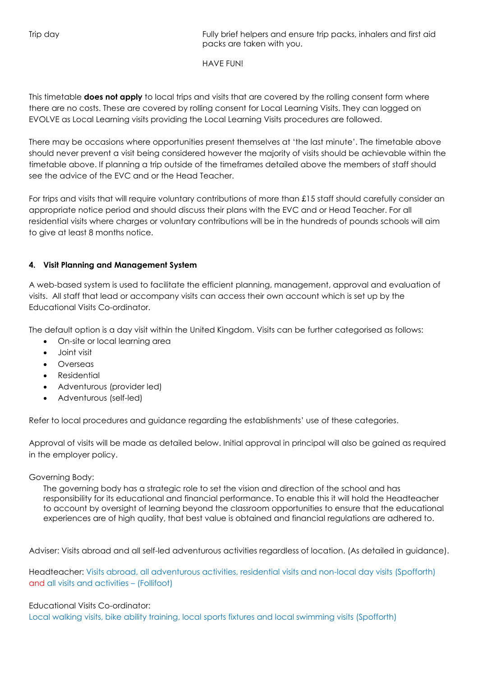Trip day Fully brief helpers and ensure trip packs, inhalers and first aid packs are taken with you.

HAVE FUN!

This timetable **does not apply** to local trips and visits that are covered by the rolling consent form where there are no costs. These are covered by rolling consent for Local Learning Visits. They can logged on EVOLVE as Local Learning visits providing the Local Learning Visits procedures are followed.

There may be occasions where opportunities present themselves at 'the last minute'. The timetable above should never prevent a visit being considered however the majority of visits should be achievable within the timetable above. If planning a trip outside of the timeframes detailed above the members of staff should see the advice of the EVC and or the Head Teacher.

For trips and visits that will require voluntary contributions of more than £15 staff should carefully consider an appropriate notice period and should discuss their plans with the EVC and or Head Teacher. For all residential visits where charges or voluntary contributions will be in the hundreds of pounds schools will aim to give at least 8 months notice.

## **4. Visit Planning and Management System**

A web-based system is used to facilitate the efficient planning, management, approval and evaluation of visits. All staff that lead or accompany visits can access their own account which is set up by the Educational Visits Co-ordinator.

The default option is a day visit within the United Kingdom. Visits can be further categorised as follows:

- On-site or local learning area
- Joint visit
- Overseas
- Residential
- Adventurous (provider led)
- Adventurous (self-led)

Refer to local procedures and guidance regarding the establishments' use of these categories.

Approval of visits will be made as detailed below. Initial approval in principal will also be gained as required in the employer policy.

## Governing Body:

The governing body has a strategic role to set the vision and direction of the school and has responsibility for its educational and financial performance. To enable this it will hold the Headteacher to account by oversight of learning beyond the classroom opportunities to ensure that the educational experiences are of high quality, that best value is obtained and financial regulations are adhered to.

Adviser: Visits abroad and all self-led adventurous activities regardless of location. (As detailed in guidance).

Headteacher: Visits abroad, all adventurous activities, residential visits and non-local day visits (Spofforth) and all visits and activities – (Follifoot)

## Educational Visits Co-ordinator:

Local walking visits, bike ability training, local sports fixtures and local swimming visits (Spofforth)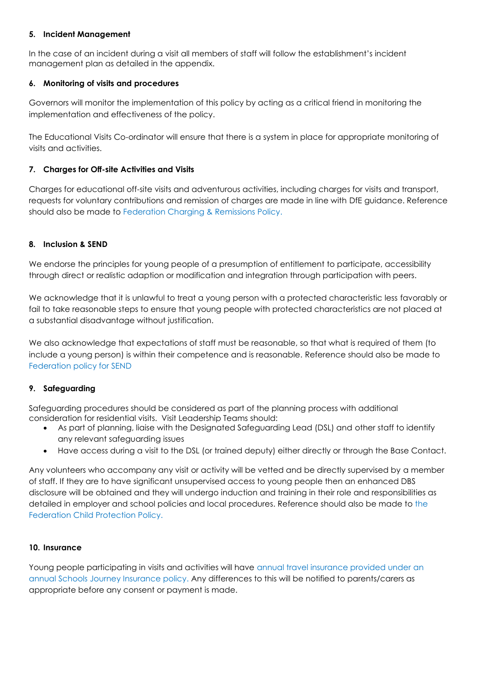## **5. Incident Management**

In the case of an incident during a visit all members of staff will follow the establishment's incident management plan as detailed in the appendix.

## **6. Monitoring of visits and procedures**

Governors will monitor the implementation of this policy by acting as a critical friend in monitoring the implementation and effectiveness of the policy.

The Educational Visits Co-ordinator will ensure that there is a system in place for appropriate monitoring of visits and activities.

## **7. Charges for Off-site Activities and Visits**

Charges for educational off-site visits and adventurous activities, including charges for visits and transport, requests for voluntary contributions and remission of charges are made in line with DfE guidance. Reference should also be made to Federation Charging & Remissions Policy.

#### **8. Inclusion & SEND**

We endorse the principles for young people of a presumption of entitlement to participate, accessibility through direct or realistic adaption or modification and integration through participation with peers.

We acknowledge that it is unlawful to treat a young person with a protected characteristic less favorably or fail to take reasonable steps to ensure that young people with protected characteristics are not placed at a substantial disadvantage without justification.

We also acknowledge that expectations of staff must be reasonable, so that what is required of them (to include a young person) is within their competence and is reasonable. Reference should also be made to Federation policy for SEND

#### **9. Safeguarding**

Safeguarding procedures should be considered as part of the planning process with additional consideration for residential visits. Visit Leadership Teams should:

- As part of planning, liaise with the Designated Safeguarding Lead (DSL) and other staff to identify any relevant safeguarding issues
- Have access during a visit to the DSL (or trained deputy) either directly or through the Base Contact.

Any volunteers who accompany any visit or activity will be vetted and be directly supervised by a member of staff. If they are to have significant unsupervised access to young people then an enhanced DBS disclosure will be obtained and they will undergo induction and training in their role and responsibilities as detailed in employer and school policies and local procedures. Reference should also be made to the Federation Child Protection Policy.

#### **10. Insurance**

Young people participating in visits and activities will have annual travel insurance provided under an annual Schools Journey Insurance policy. Any differences to this will be notified to parents/carers as appropriate before any consent or payment is made.